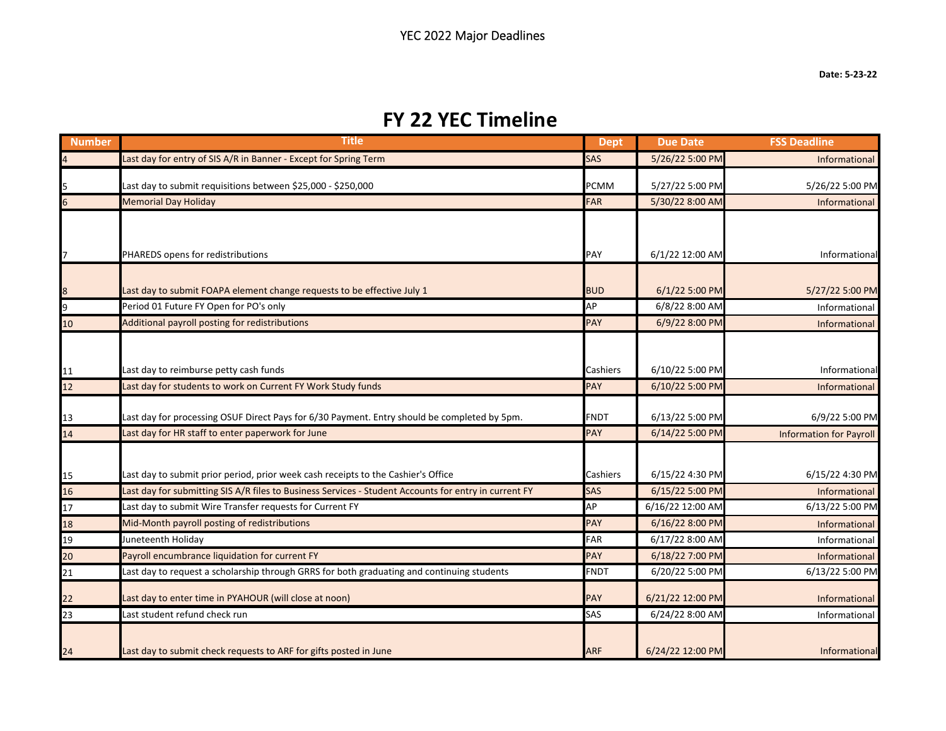## **FY 22 YEC Timeline**

| <b>Number</b>         | Title                                                                                                                                                                                      | <b>Dept</b>     | <b>Due Date</b>                    | <b>FSS Deadline</b>              |
|-----------------------|--------------------------------------------------------------------------------------------------------------------------------------------------------------------------------------------|-----------------|------------------------------------|----------------------------------|
| $\overline{4}$        | Last day for entry of SIS A/R in Banner - Except for Spring Term                                                                                                                           | <b>SAS</b>      | 5/26/22 5:00 PM                    | Informational                    |
|                       | Last day to submit requisitions between \$25,000 - \$250,000                                                                                                                               | <b>PCMM</b>     | 5/27/22 5:00 PM                    | 5/26/22 5:00 PM                  |
|                       | <b>Memorial Day Holiday</b>                                                                                                                                                                | <b>FAR</b>      | 5/30/22 8:00 AM                    | Informational                    |
| 7                     | PHAREDS opens for redistributions                                                                                                                                                          | PAY             | 6/1/22 12:00 AM                    | Informational                    |
|                       | Last day to submit FOAPA element change requests to be effective July 1                                                                                                                    | <b>BUD</b>      | 6/1/22 5:00 PM                     | 5/27/22 5:00 PM                  |
| 9                     | Period 01 Future FY Open for PO's only                                                                                                                                                     | AP              | 6/8/22 8:00 AM                     | Informational                    |
| 10                    | Additional payroll posting for redistributions                                                                                                                                             | <b>PAY</b>      | 6/9/22 8:00 PM                     | Informational                    |
| 11<br>$\overline{12}$ | Last day to reimburse petty cash funds<br>Last day for students to work on Current FY Work Study funds                                                                                     | Cashiers<br>PAY | 6/10/22 5:00 PM<br>6/10/22 5:00 PM | Informational<br>Informational   |
| 13                    | Last day for processing OSUF Direct Pays for 6/30 Payment. Entry should be completed by 5pm.                                                                                               | <b>FNDT</b>     | 6/13/22 5:00 PM                    | 6/9/22 5:00 PM                   |
| 14                    | Last day for HR staff to enter paperwork for June                                                                                                                                          | <b>PAY</b>      | 6/14/22 5:00 PM                    | <b>Information for Payroll</b>   |
| 15<br>$\overline{16}$ | Last day to submit prior period, prior week cash receipts to the Cashier's Office<br>Last day for submitting SIS A/R files to Business Services - Student Accounts for entry in current FY | Cashiers<br>SAS | 6/15/22 4:30 PM<br>6/15/22 5:00 PM | 6/15/22 4:30 PM<br>Informational |
| 17                    | Last day to submit Wire Transfer requests for Current FY                                                                                                                                   | АP              | 6/16/22 12:00 AM                   | 6/13/22 5:00 PM                  |
| 18                    | Mid-Month payroll posting of redistributions                                                                                                                                               | PAY             | 6/16/22 8:00 PM                    | Informational                    |
| 19                    | Juneteenth Holiday                                                                                                                                                                         | FAR             | 6/17/22 8:00 AM                    | Informational                    |
| $\overline{20}$       | Payroll encumbrance liquidation for current FY                                                                                                                                             | PAY             | 6/18/22 7:00 PM                    | Informational                    |
| 21                    | Last day to request a scholarship through GRRS for both graduating and continuing students                                                                                                 | <b>FNDT</b>     | 6/20/22 5:00 PM                    | 6/13/22 5:00 PM                  |
| 22                    | Last day to enter time in PYAHOUR (will close at noon)                                                                                                                                     | PAY             | 6/21/22 12:00 PM                   | Informational                    |
| 23                    | Last student refund check run                                                                                                                                                              | SAS             | 6/24/22 8:00 AM                    | Informational                    |
| 24                    | Last day to submit check requests to ARF for gifts posted in June                                                                                                                          | <b>ARF</b>      | 6/24/22 12:00 PM                   | Informational                    |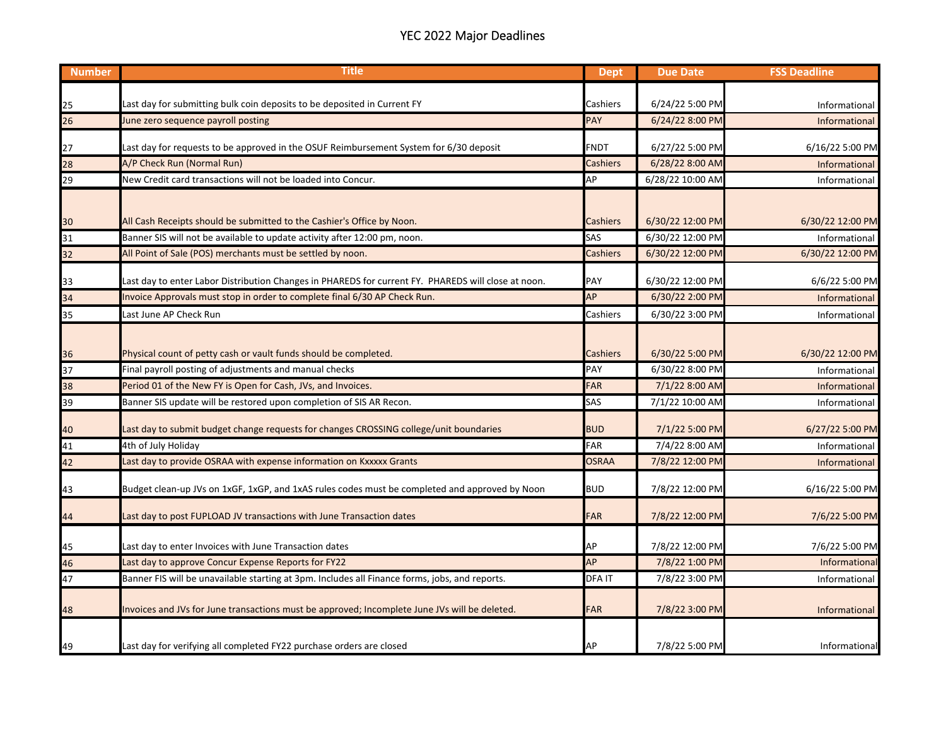## YEC 2022 Major Deadlines

| <b>Number</b>   | <b>Title</b>                                                                                        | <b>Dept</b>     | <b>Due Date</b>  | <b>FSS Deadline</b>  |
|-----------------|-----------------------------------------------------------------------------------------------------|-----------------|------------------|----------------------|
|                 |                                                                                                     |                 |                  |                      |
| 25              | Last day for submitting bulk coin deposits to be deposited in Current FY                            | Cashiers        | 6/24/22 5:00 PM  | Informational        |
| 26              | lune zero sequence payroll posting                                                                  | <b>PAY</b>      | 6/24/22 8:00 PM  | Informational        |
| 27              | Last day for requests to be approved in the OSUF Reimbursement System for 6/30 deposit              | FNDT            | 6/27/22 5:00 PM  | 6/16/22 5:00 PM      |
| 28              | A/P Check Run (Normal Run)                                                                          | <b>Cashiers</b> | 6/28/22 8:00 AM  | Informational        |
| 29              | New Credit card transactions will not be loaded into Concur.                                        | AP              | 6/28/22 10:00 AM | Informational        |
|                 |                                                                                                     |                 |                  |                      |
| 30              | All Cash Receipts should be submitted to the Cashier's Office by Noon.                              | Cashiers        | 6/30/22 12:00 PM | 6/30/22 12:00 PM     |
| 31              | Banner SIS will not be available to update activity after 12:00 pm, noon.                           | SAS             | 6/30/22 12:00 PM | Informational        |
| 32              | All Point of Sale (POS) merchants must be settled by noon.                                          | Cashiers        | 6/30/22 12:00 PM | 6/30/22 12:00 PM     |
| 33              | Last day to enter Labor Distribution Changes in PHAREDS for current FY. PHAREDS will close at noon. | PAY             | 6/30/22 12:00 PM | 6/6/22 5:00 PM       |
| 34              | Invoice Approvals must stop in order to complete final 6/30 AP Check Run.                           | AP              | 6/30/22 2:00 PM  | Informational        |
| 35              | Last June AP Check Run                                                                              | Cashiers        | 6/30/22 3:00 PM  | Informational        |
|                 |                                                                                                     |                 |                  |                      |
|                 | Physical count of petty cash or vault funds should be completed.                                    | Cashiers        | 6/30/22 5:00 PM  | 6/30/22 12:00 PM     |
| $\frac{36}{37}$ | Final payroll posting of adjustments and manual checks                                              | PAY             | 6/30/22 8:00 PM  | Informational        |
| 38              | Period 01 of the New FY is Open for Cash, JVs, and Invoices.                                        | <b>FAR</b>      | 7/1/22 8:00 AM   | Informational        |
| 39              | Banner SIS update will be restored upon completion of SIS AR Recon.                                 | SAS             | 7/1/22 10:00 AM  | Informational        |
| 40              | Last day to submit budget change requests for changes CROSSING college/unit boundaries              | <b>BUD</b>      | 7/1/22 5:00 PM   | 6/27/22 5:00 PM      |
| 41              | 4th of July Holiday                                                                                 | <b>FAR</b>      | 7/4/22 8:00 AM   | Informational        |
| 42              | Last day to provide OSRAA with expense information on Kxxxxx Grants                                 | <b>OSRAA</b>    | 7/8/22 12:00 PM  | <b>Informational</b> |
|                 |                                                                                                     |                 |                  |                      |
| 43              | Budget clean-up JVs on 1xGF, 1xGP, and 1xAS rules codes must be completed and approved by Noon      | <b>BUD</b>      | 7/8/22 12:00 PM  | 6/16/22 5:00 PM      |
| 44              | Last day to post FUPLOAD JV transactions with June Transaction dates                                | <b>FAR</b>      | 7/8/22 12:00 PM  | 7/6/22 5:00 PM       |
| 45              | Last day to enter Invoices with June Transaction dates                                              | АP              | 7/8/22 12:00 PM  | 7/6/22 5:00 PM       |
| 46              | Last day to approve Concur Expense Reports for FY22                                                 | AP              | 7/8/22 1:00 PM   | Informational        |
| 47              | Banner FIS will be unavailable starting at 3pm. Includes all Finance forms, jobs, and reports.      | <b>DFAIT</b>    | 7/8/22 3:00 PM   | Informational        |
|                 |                                                                                                     |                 |                  |                      |
| 48              | Invoices and JVs for June transactions must be approved; Incomplete June JVs will be deleted.       | <b>FAR</b>      | 7/8/22 3:00 PM   | Informational        |
|                 |                                                                                                     |                 |                  |                      |
| 49              | Last day for verifying all completed FY22 purchase orders are closed                                | AP              | 7/8/22 5:00 PM   | Informational        |